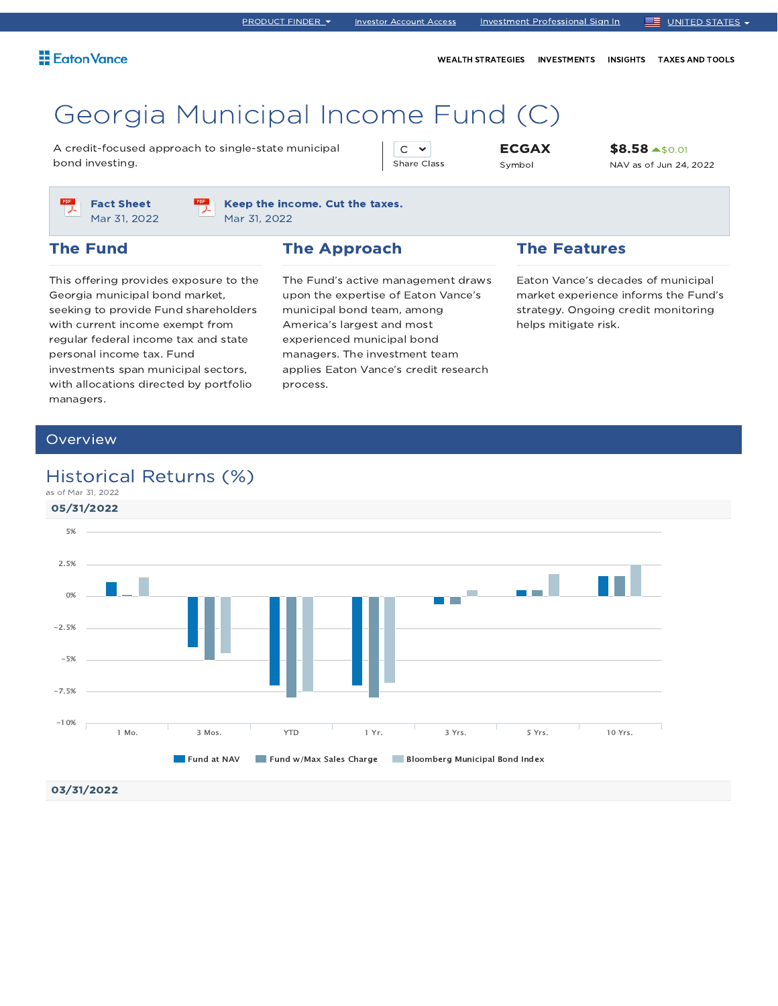WEALTH STRATEGIES INVESTMENTS INSIGHTS TAXES AND TOOLS

# Georgia Municipal Income Fund (C)

A credit-focused approach to single-state municipal bond investing.

 $C \sim$ Share Class ECGAX Symbol

\$8.58 \$0.01 NAV as of Jun 24, 2022



Keep the income. Cut the taxes. Mar 31, 2022

### The Fund

### The Approach

This offering provides exposure to the Georgia municipal bond market, seeking to provide Fund shareholders with current income exempt from regular federal income tax and state personal income tax. Fund investments span municipal sectors, with allocations directed by portfolio managers.

The Fund's active management draws upon the expertise of Eaton Vance's municipal bond team, among America's largest and most experienced municipal bond managers. The investment team applies Eaton Vance's credit research process.

### The Features

Eaton Vance's decades of municipal market experience informs the Fund's strategy. Ongoing credit monitoring helps mitigate risk.

### Overview

### Historical Returns (%)

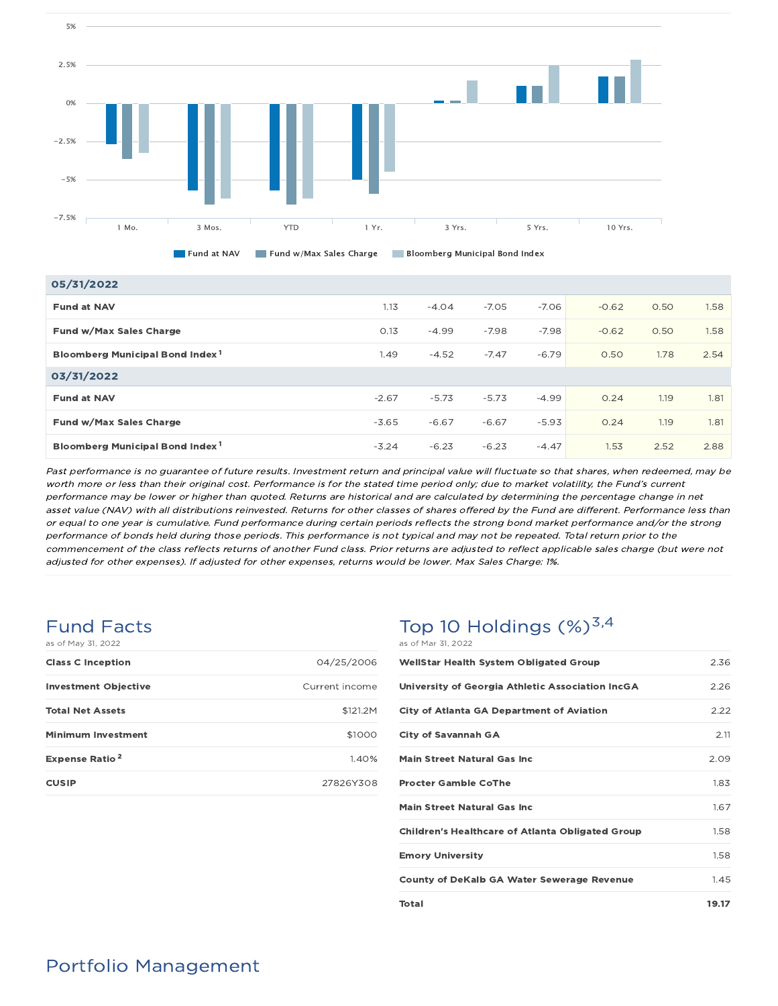

Fund at NAV Fund w/Max Sales Charge Bloomberg Municipal Bond Index

| 05/31/2022                                  |         |         |         |         |         |      |      |
|---------------------------------------------|---------|---------|---------|---------|---------|------|------|
| <b>Fund at NAV</b>                          | 1.13    | $-4.04$ | $-7.05$ | $-7.06$ | $-0.62$ | 0.50 | 1.58 |
| Fund w/Max Sales Charge                     | 0.13    | $-4.99$ | $-7.98$ | $-7.98$ | $-0.62$ | 0.50 | 1.58 |
| Bloomberg Municipal Bond Index <sup>1</sup> | 1.49    | $-4.52$ | $-7.47$ | $-6.79$ | 0.50    | 1.78 | 2.54 |
| 03/31/2022                                  |         |         |         |         |         |      |      |
| <b>Fund at NAV</b>                          | $-2.67$ | $-5.73$ | $-5.73$ | $-4.99$ | 0.24    | 1.19 | 1.81 |
| Fund w/Max Sales Charge                     | $-3.65$ | $-6.67$ | $-6.67$ | $-5.93$ | 0.24    | 1.19 | 1.81 |
| Bloomberg Municipal Bond Index <sup>1</sup> | $-3.24$ | $-6.23$ | $-6.23$ | $-4.47$ | 1.53    | 2.52 | 2.88 |

Past performance is no guarantee of future results. Investment return and principal value will fluctuate so that shares, when redeemed, may be worth more or less than their original cost. Performance is for the stated time period only; due to market volatility, the Fund's current performance may be lower or higher than quoted. Returns are historical and are calculated by determining the percentage change in net asset value (NAV) with all distributions reinvested. Returns for other classes of shares offered by the Fund are different. Performance less than or equal to one year is cumulative. Fund performance during certain periods reflects the strong bond market performance and/or the strong performance of bonds held during those periods. This performance is not typical and may not be repeated. Total return prior to the commencement of the class reflects returns of another Fund class. Prior returns are adjusted to reflect applicable sales charge (but were not adjusted for other expenses). If adjusted for other expenses, returns would be lower. Max Sales Charge: 1%.

### Fund Facts as of May 31, 2022

5%

| <b>Class C Inception</b>         | 04/25/2006     |
|----------------------------------|----------------|
| <b>Investment Objective</b>      | Current income |
| <b>Total Net Assets</b>          | \$121.2M       |
| <b>Minimum Investment</b>        | \$1000         |
| <b>Expense Ratio<sup>2</sup></b> | 1.40%          |
| <b>CUSIP</b>                     | 27826Y308      |

### Top 10 Holdings  $(\%)^{3,4}$ as of Mar 31, 2022

| <b>WellStar Health System Obligated Group</b>           | 2.36  |
|---------------------------------------------------------|-------|
| University of Georgia Athletic Association IncGA        | 2.26  |
| <b>City of Atlanta GA Department of Aviation</b>        | 2.22  |
| <b>City of Savannah GA</b>                              | 2.11  |
| <b>Main Street Natural Gas Inc.</b>                     | 2.09  |
| <b>Procter Gamble CoThe</b>                             | 1.83  |
| <b>Main Street Natural Gas Inc.</b>                     | 1.67  |
| <b>Children's Healthcare of Atlanta Obligated Group</b> | 1.58  |
| <b>Emory University</b>                                 | 1.58  |
| <b>County of DeKalb GA Water Sewerage Revenue</b>       | 1.45  |
| Total                                                   | 19.17 |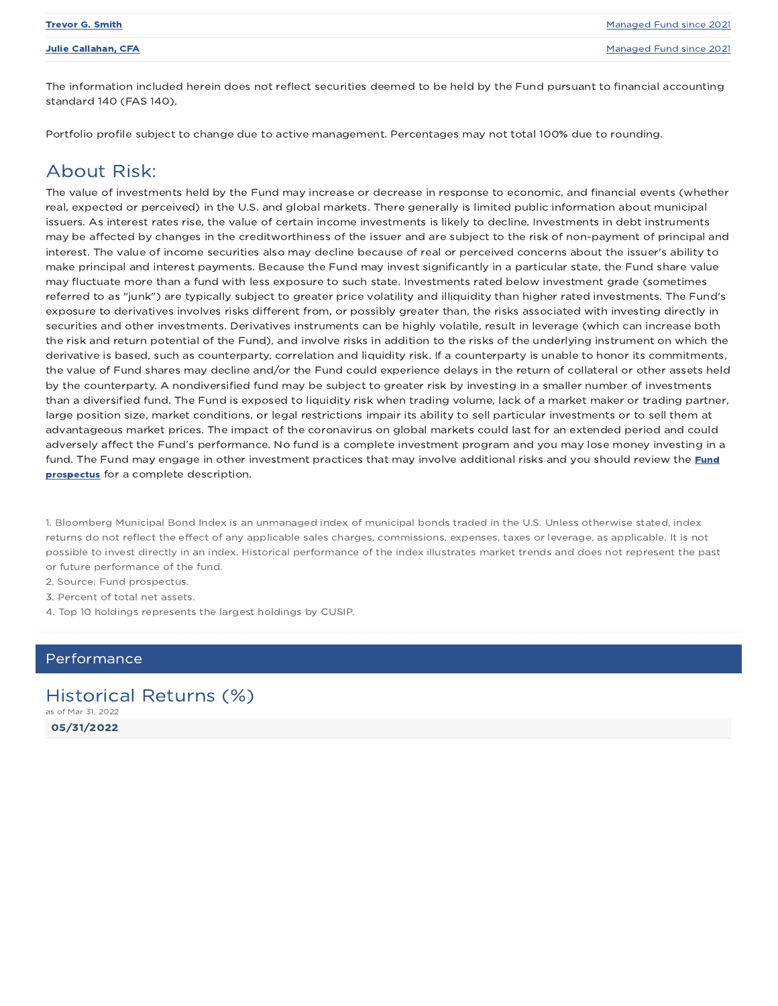| <b>Trevor G. Smith</b>     | Managed Fund since 2021 |
|----------------------------|-------------------------|
| <b>Julie Callahan, CFA</b> | Managed Fund since 2021 |
|                            |                         |

The information included herein does not reflect securities deemed to be held by the Fund pursuant to financial accounting standard 140 (FAS 140).

Portfolio profile subject to change due to active management. Percentages may not total 100% due to rounding.

### About Risk:

The value of investments held by the Fund may increase or decrease in response to economic, and financial events (whether real, expected or perceived) in the U.S. and global markets. There generally is limited public information about municipal issuers. As interest rates rise, the value of certain income investments is likely to decline. Investments in debt instruments may be affected by changes in the creditworthiness of the issuer and are subject to the risk of non-payment of principal and interest. The value of income securities also may decline because of real or perceived concerns about the issuer's ability to make principal and interest payments. Because the Fund may invest significantly in a particular state, the Fund share value may fluctuate more than a fund with less exposure to such state. Investments rated below investment grade (sometimes referred to as "junk") are typically subject to greater price volatility and illiquidity than higher rated investments. The Fund's exposure to derivatives involves risks different from, or possibly greater than, the risks associated with investing directly in securities and other investments. Derivatives instruments can be highly volatile, result in leverage (which can increase both the risk and return potential of the Fund), and involve risks in addition to the risks of the underlying instrument on which the derivative is based, such as counterparty, correlation and liquidity risk. If a counterparty is unable to honor its commitments, the value of Fund shares may decline and/or the Fund could experience delays in the return of collateral or other assets held by the counterparty. A nondiversified fund may be subject to greater risk by investing in a smaller number of investments than a diversified fund. The Fund is exposed to liquidity risk when trading volume, lack of a market maker or trading partner, large position size, market conditions, or legal restrictions impair its ability to sell particular investments or to sell them at advantageous market prices. The impact of the coronavirus on global markets could last for an extended period and could adversely affect the Fund's performance. No fund is a complete investment program and you may lose money investing in a fund. The Fund may engage in other investment practices that may involve additional risks and you should review the Fund prospectus for a complete description.

1. Bloomberg Municipal Bond Index is an unmanaged index of municipal bonds traded in the U.S. Unless otherwise stated, index returns do not reflect the effect of any applicable sales charges, commissions, expenses, taxes or leverage, as applicable. It is not possible to invest directly in an index. Historical performance of the index illustrates market trends and does not represent the past or future performance of the fund.

2. Source: Fund prospectus.

3. Percent of total net assets.

4. Top 10 holdings represents the largest holdings by CUSIP.

#### Performance

05/31/2022 Historical Returns (%) as of Mar 31, 2022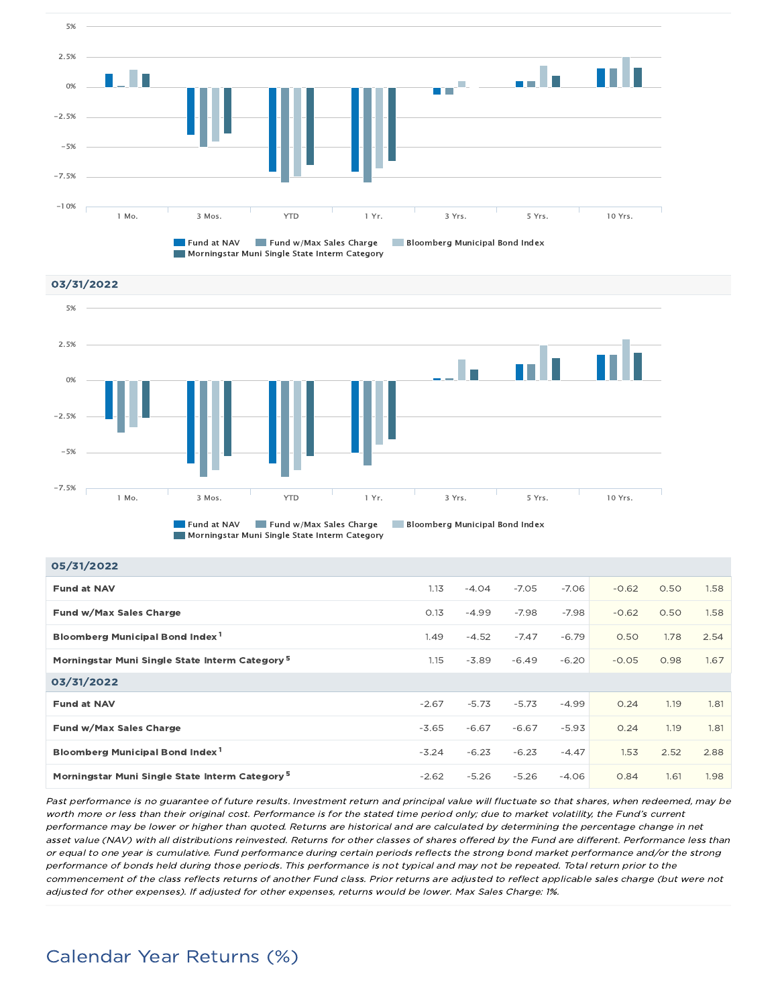

**Morningstar Muni Single State Interm Category** 





Morningstar Muni Single State Interm Category

| 05/31/2022                                                 |         |         |         |         |         |      |      |
|------------------------------------------------------------|---------|---------|---------|---------|---------|------|------|
| <b>Fund at NAV</b>                                         | 1.13    | $-4.04$ | $-7.05$ | $-7.06$ | $-0.62$ | 0.50 | 1.58 |
| Fund w/Max Sales Charge                                    | 0.13    | $-4.99$ | $-7.98$ | $-7.98$ | $-0.62$ | 0.50 | 1.58 |
| Bloomberg Municipal Bond Index <sup>1</sup>                | 1.49    | $-4.52$ | $-7.47$ | $-6.79$ | 0.50    | 1.78 | 2.54 |
| Morningstar Muni Single State Interm Category <sup>5</sup> | 1.15    | $-3.89$ | $-6.49$ | $-6.20$ | $-0.05$ | 0.98 | 1.67 |
| 03/31/2022                                                 |         |         |         |         |         |      |      |
| <b>Fund at NAV</b>                                         | $-2.67$ | $-5.73$ | $-5.73$ | $-4.99$ | 0.24    | 1.19 | 1.81 |
| Fund w/Max Sales Charge                                    | $-3.65$ | $-6.67$ | $-6.67$ | $-5.93$ | 0.24    | 1.19 | 1.81 |
| Bloomberg Municipal Bond Index <sup>1</sup>                | $-3.24$ | $-6.23$ | $-6.23$ | $-4.47$ | 1.53    | 2.52 | 2.88 |
| Morningstar Muni Single State Interm Category <sup>5</sup> | $-2.62$ | $-5.26$ | $-5.26$ | $-4.06$ | 0.84    | 1.61 | 1.98 |

Past performance is no guarantee of future results. Investment return and principal value will fluctuate so that shares, when redeemed, may be worth more or less than their original cost. Performance is for the stated time period only; due to market volatility, the Fund's current performance may be lower or higher than quoted. Returns are historical and are calculated by determining the percentage change in net asset value (NAV) with all distributions reinvested. Returns for other classes of shares offered by the Fund are different. Performance less than or equal to one year is cumulative. Fund performance during certain periods reflects the strong bond market performance and/or the strong performance of bonds held during those periods. This performance is not typical and may not be repeated. Total return prior to the commencement of the class reflects returns of another Fund class. Prior returns are adjusted to reflect applicable sales charge (but were not adjusted for other expenses). If adjusted for other expenses, returns would be lower. Max Sales Charge: 1%.

## Calendar Year Returns (%)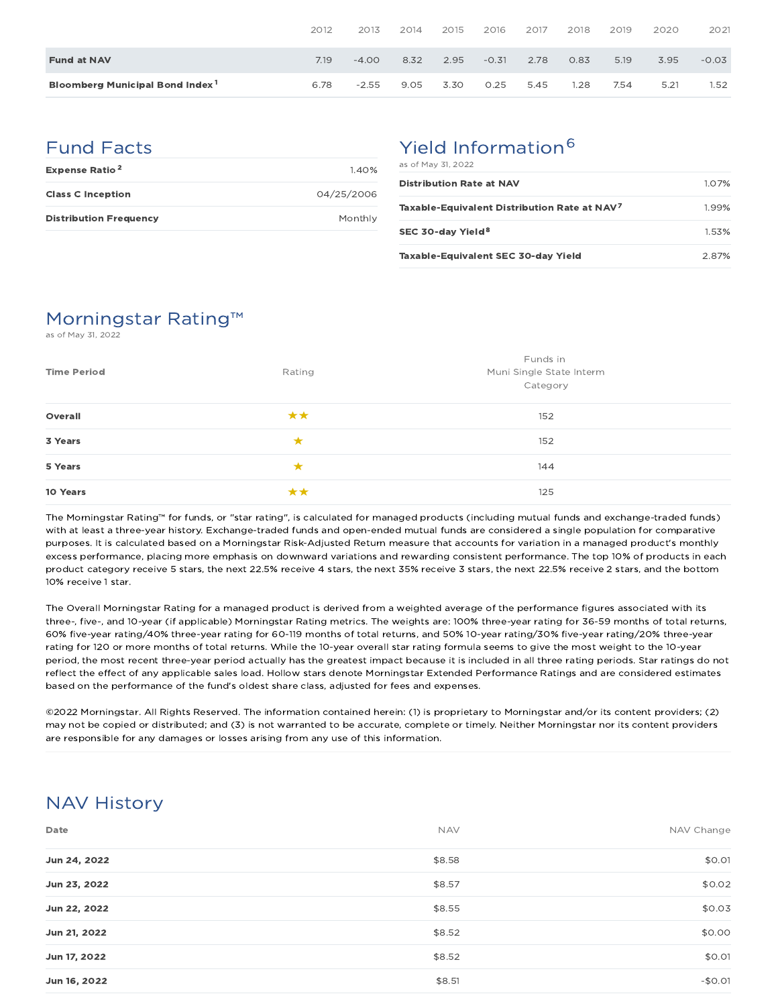|                                             | 2012 | 2013    | 2014 | 2015 | 2016    | 2017 | 2018 | 2019 | 2020 | 2021    |
|---------------------------------------------|------|---------|------|------|---------|------|------|------|------|---------|
| <b>Fund at NAV</b>                          | 7.19 | $-4.00$ | 8.32 | 2.95 | $-0.31$ | 2.78 | 0.83 | 5.19 | 3.95 | $-0.03$ |
| Bloomberg Municipal Bond Index <sup>1</sup> | 6.78 | $-2.55$ | 9.05 | 3.30 | 0.25    | 5.45 | .28  | 7.54 | 5.21 | 1.52    |

## Fund Facts

| <b>Expense Ratio<sup>2</sup></b> | 140%       |
|----------------------------------|------------|
| <b>Class C Inception</b>         | 04/25/2006 |
| <b>Distribution Frequency</b>    | Monthly    |

# Yield Information<sup>6</sup>

| as of May 31, 2022                                       |          |
|----------------------------------------------------------|----------|
| <b>Distribution Rate at NAV</b>                          | $1.07\%$ |
| Taxable-Equivalent Distribution Rate at NAV <sup>7</sup> | 199%     |
| SEC 30-day Yield <sup>8</sup>                            | 1.53%    |
| Taxable-Equivalent SEC 30-day Yield                      | 2.87%    |

## Morningstar Rating™

as of May 31, 2022

| <b>Time Period</b> | Funds in<br>Muni Single State Interm<br>Rating<br>Category |     |  |
|--------------------|------------------------------------------------------------|-----|--|
| Overall            | **                                                         | 152 |  |
| 3 Years            | ★                                                          | 152 |  |
| 5 Years            | ★                                                          | 144 |  |
| 10 Years           |                                                            | 125 |  |

The Morningstar Rating™ for funds, or "star rating", is calculated for managed products (including mutual funds and exchange-traded funds) with at least a three-year history. Exchange-traded funds and open-ended mutual funds are considered a single population for comparative purposes. It is calculated based on a Morningstar Risk-Adjusted Return measure that accounts for variation in a managed product's monthly excess performance, placing more emphasis on downward variations and rewarding consistent performance. The top 10% of products in each product category receive 5 stars, the next 22.5% receive 4 stars, the next 35% receive 3 stars, the next 22.5% receive 2 stars, and the bottom 10% receive 1 star.

The Overall Morningstar Rating for a managed product is derived from a weighted average of the performance figures associated with its three-, five-, and 10-year (if applicable) Morningstar Rating metrics. The weights are: 100% three-year rating for 36-59 months of total returns, 60% five-year rating/40% three-year rating for 60-119 months of total returns, and 50% 10-year rating/30% five-year rating/20% three-year rating for 120 or more months of total returns. While the 10-year overall star rating formula seems to give the most weight to the 10-year period, the most recent three-year period actually has the greatest impact because it is included in all three rating periods. Star ratings do not reflect the effect of any applicable sales load. Hollow stars denote Morningstar Extended Performance Ratings and are considered estimates based on the performance of the fund's oldest share class, adjusted for fees and expenses.

©2022 Morningstar. All Rights Reserved. The information contained herein: (1) is proprietary to Morningstar and/or its content providers; (2) may not be copied or distributed; and (3) is not warranted to be accurate, complete or timely. Neither Morningstar nor its content providers are responsible for any damages or losses arising from any use of this information.

## NAV History

| Date         | <b>NAV</b> | NAV Change |
|--------------|------------|------------|
| Jun 24, 2022 | \$8.58     | \$0.01     |
| Jun 23, 2022 | \$8.57     | \$0.02     |
| Jun 22, 2022 | \$8.55     | \$0.03     |
| Jun 21, 2022 | \$8.52     | \$0.00     |
| Jun 17, 2022 | \$8.52     | \$0.01     |
| Jun 16, 2022 | \$8.51     | $-$0.01$   |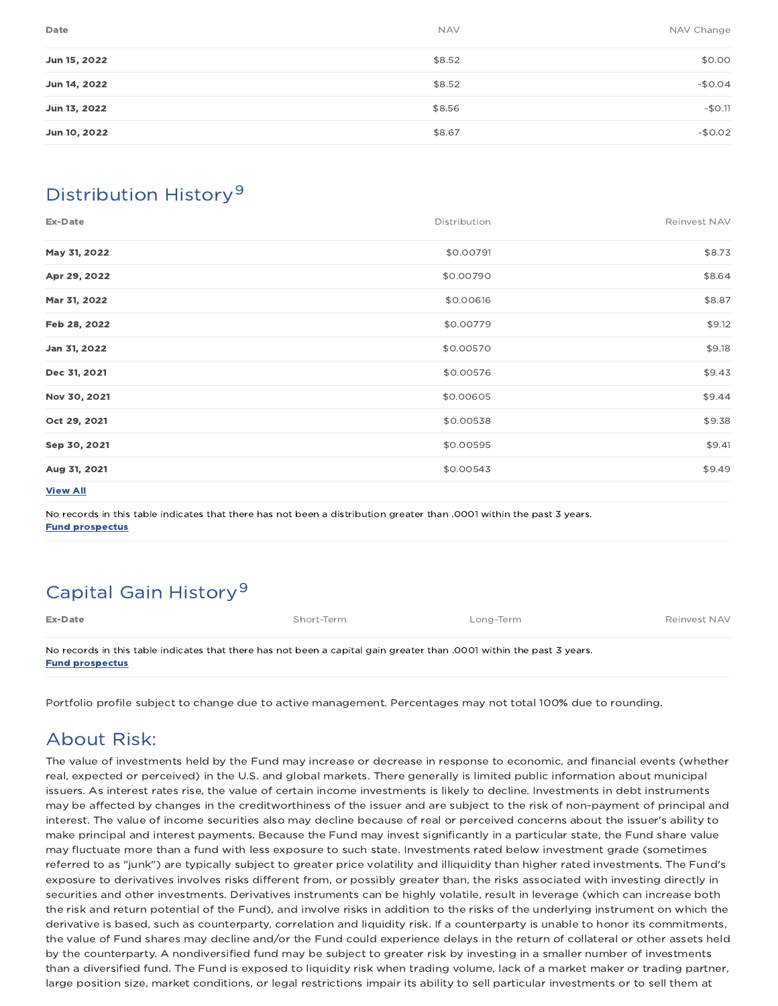| Date         | <b>NAV</b> | NAV Change |
|--------------|------------|------------|
| Jun 15, 2022 | \$8.52     | \$0.00     |
| Jun 14, 2022 | \$8.52     | $-$0.04$   |
| Jun 13, 2022 | \$8.56     | $-$0.11$   |
| Jun 10, 2022 | \$8.67     | $-$0.02$   |

## Distribution History 9

| Distribution | Reinvest NAV |
|--------------|--------------|
| \$0.00791    | \$8.73       |
| \$0.00790    | \$8.64       |
| \$0.00616    | \$8.87       |
| \$0.00779    | \$9.12       |
| \$0.00570    | \$9.18       |
| \$0.00576    | \$9.43       |
| \$0.00605    | \$9.44       |
| \$0.00538    | \$9.38       |
| \$0.00595    | \$9.41       |
| \$0.00543    | \$9.49       |
|              |              |

View All

No records in this table indicates that there has not been a distribution greater than .0001 within the past 3 years. Fund prospectus

# Capital Gain History<sup>9</sup>

| Ex-Date                                                                                                               | Short-Term | Long-Term | Reinvest NAV |
|-----------------------------------------------------------------------------------------------------------------------|------------|-----------|--------------|
| No records in this table indicates that there has not been a capital gain greater than .0001 within the past 3 years. |            |           |              |
| <b>Fund prospectus</b>                                                                                                |            |           |              |

Portfolio profile subject to change due to active management. Percentages may not total 100% due to rounding.

## About Risk:

The value of investments held by the Fund may increase or decrease in response to economic, and financial events (whether real, expected or perceived) in the U.S. and global markets. There generally is limited public information about municipal issuers. As interest rates rise, the value of certain income investments is likely to decline. Investments in debt instruments may be affected by changes in the creditworthiness of the issuer and are subject to the risk of non-payment of principal and interest. The value of income securities also may decline because of real or perceived concerns about the issuer's ability to make principal and interest payments. Because the Fund may invest significantly in a particular state, the Fund share value may fluctuate more than a fund with less exposure to such state. Investments rated below investment grade (sometimes referred to as "junk") are typically subject to greater price volatility and illiquidity than higher rated investments. The Fund's exposure to derivatives involves risks different from, or possibly greater than, the risks associated with investing directly in securities and other investments. Derivatives instruments can be highly volatile, result in leverage (which can increase both the risk and return potential of the Fund), and involve risks in addition to the risks of the underlying instrument on which the derivative is based, such as counterparty, correlation and liquidity risk. If a counterparty is unable to honor its commitments, the value of Fund shares may decline and/or the Fund could experience delays in the return of collateral or other assets held by the counterparty. A nondiversified fund may be subject to greater risk by investing in a smaller number of investments than a diversified fund. The Fund is exposed to liquidity risk when trading volume, lack of a market maker or trading partner, large position size, market conditions, or legal restrictions impair its ability to sell particular investments or to sell them at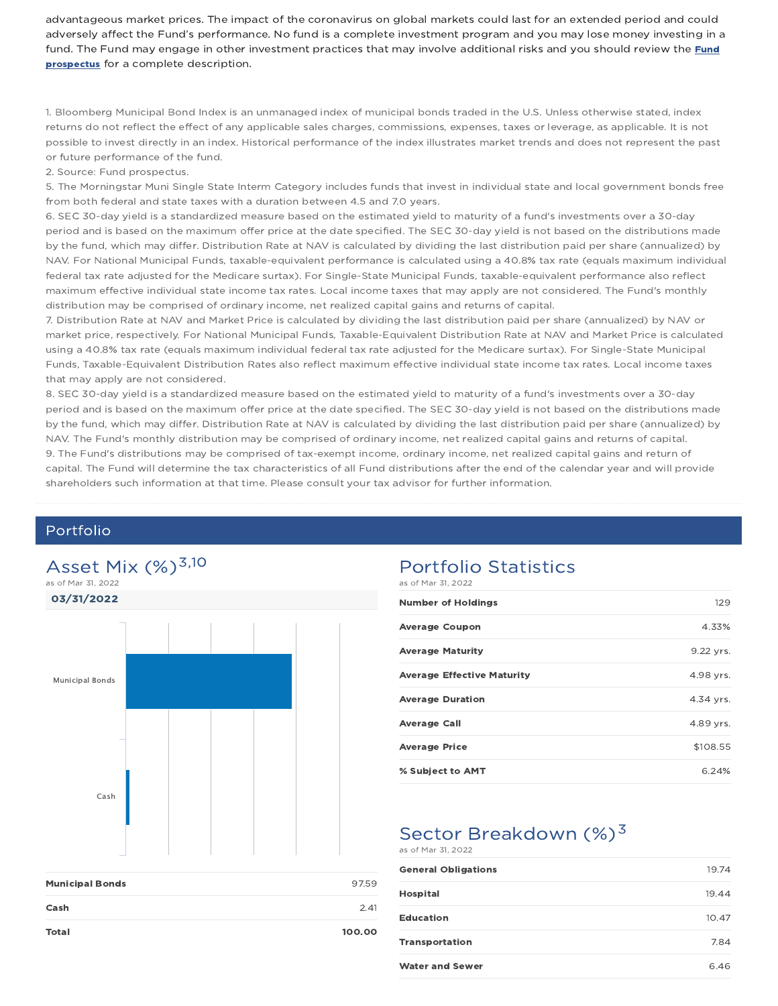advantageous market prices. The impact of the coronavirus on global markets could last for an extended period and could adversely affect the Fund's performance. No fund is a complete investment program and you may lose money investing in a fund. The Fund may engage in other investment practices that may involve additional risks and you should review the Fund **prospectus** for a complete description.

1. Bloomberg Municipal Bond Index is an unmanaged index of municipal bonds traded in the U.S. Unless otherwise stated, index returns do not reflect the effect of any applicable sales charges, commissions, expenses, taxes or leverage, as applicable. It is not possible to invest directly in an index. Historical performance of the index illustrates market trends and does not represent the past or future performance of the fund.

2. Source: Fund prospectus.

5. The Morningstar Muni Single State Interm Category includes funds that invest in individual state and local government bonds free from both federal and state taxes with a duration between 4.5 and 7.0 years.

6. SEC 30-day yield is a standardized measure based on the estimated yield to maturity of a fund's investments over a 30-day period and is based on the maximum offer price at the date specified. The SEC 30-day yield is not based on the distributions made by the fund, which may differ. Distribution Rate at NAV is calculated by dividing the last distribution paid per share (annualized) by NAV. For National Municipal Funds, taxable-equivalent performance is calculated using a 40.8% tax rate (equals maximum individual federal tax rate adjusted for the Medicare surtax). For Single-State Municipal Funds, taxable-equivalent performance also reflect maximum effective individual state income tax rates. Local income taxes that may apply are not considered. The Fund's monthly distribution may be comprised of ordinary income, net realized capital gains and returns of capital.

7. Distribution Rate at NAV and Market Price is calculated by dividing the last distribution paid per share (annualized) by NAV or market price, respectively. For National Municipal Funds, Taxable-Equivalent Distribution Rate at NAV and Market Price is calculated using a 40.8% tax rate (equals maximum individual federal tax rate adjusted for the Medicare surtax). For Single-State Municipal Funds, Taxable-Equivalent Distribution Rates also reflect maximum effective individual state income tax rates. Local income taxes that may apply are not considered.

8. SEC 30-day yield is a standardized measure based on the estimated yield to maturity of a fund's investments over a 30-day period and is based on the maximum offer price at the date specified. The SEC 30-day yield is not based on the distributions made by the fund, which may differ. Distribution Rate at NAV is calculated by dividing the last distribution paid per share (annualized) by NAV. The Fund's monthly distribution may be comprised of ordinary income, net realized capital gains and returns of capital. 9. The Fund's distributions may be comprised of tax-exempt income, ordinary income, net realized capital gains and return of capital. The Fund will determine the tax characteristics of all Fund distributions after the end of the calendar year and will provide shareholders such information at that time. Please consult your tax advisor for further information.

### Portfolio



| <b>Municipal Bonds</b> | 97.59  |
|------------------------|--------|
| Cash                   | 2.41   |
| Total                  | 100.00 |

#### Portfolio Statistics  $a \times b$  May 71, 2022

| $0.3$ 01 1101 01, 2022            |           |
|-----------------------------------|-----------|
| <b>Number of Holdings</b>         | 129       |
| <b>Average Coupon</b>             | 4.33%     |
| <b>Average Maturity</b>           | 9.22 yrs. |
| <b>Average Effective Maturity</b> | 4.98 yrs. |
| <b>Average Duration</b>           | 4.34 yrs. |
| <b>Average Call</b>               | 4.89 yrs. |
| <b>Average Price</b>              | \$108.55  |
| % Subject to AMT                  | 6.24%     |

## Sector Breakdown  $(\%)^3$

#### as of Mar 31, 2022

| <b>General Obligations</b> | 19.74 |
|----------------------------|-------|
| <b>Hospital</b>            | 19.44 |
| <b>Education</b>           | 10.47 |
| <b>Transportation</b>      | 7.84  |
| <b>Water and Sewer</b>     | 6.46  |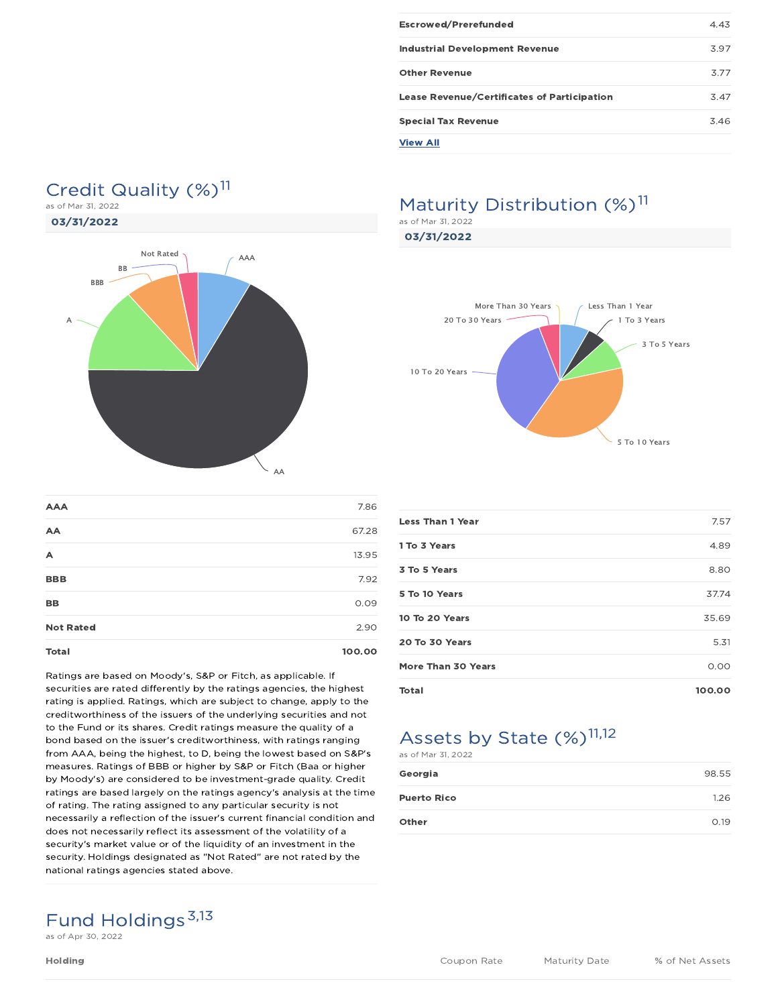| Escrowed/Prerefunded                               | 4.43 |
|----------------------------------------------------|------|
| <b>Industrial Development Revenue</b>              | 3.97 |
| <b>Other Revenue</b>                               | 3.77 |
| <b>Lease Revenue/Certificates of Participation</b> | 347  |
| <b>Special Tax Revenue</b>                         | 3.46 |
| <b>View All</b>                                    |      |

### Credit Quality (%)<sup>11</sup> as of Mar 31, 2022

03/31/2022



| <b>AAA</b>       | 7.86   |
|------------------|--------|
| AA               | 67.28  |
| A                | 13.95  |
| <b>BBB</b>       | 7.92   |
| <b>BB</b>        | 0.09   |
| <b>Not Rated</b> | 2.90   |
| <b>Total</b>     | 100.00 |

Ratings are based on Moody's, S&P or Fitch, as applicable. If securities are rated differently by the ratings agencies, the highest rating is applied. Ratings, which are subject to change, apply to the creditworthiness of the issuers of the underlying securities and not to the Fund or its shares. Credit ratings measure the quality of a bond based on the issuer's creditworthiness, with ratings ranging from AAA, being the highest, to D, being the lowest based on S&P's measures. Ratings of BBB or higher by S&P or Fitch (Baa or higher by Moody's) are considered to be investment-grade quality. Credit ratings are based largely on the ratings agency's analysis at the time of rating. The rating assigned to any particular security is not necessarily a reflection of the issuer's current financial condition and does not necessarily reflect its assessment of the volatility of a security's market value or of the liquidity of an investment in the security. Holdings designated as "Not Rated" are not rated by the national ratings agencies stated above.

# Maturity Distribution (%)<sup>11</sup>

as of Mar 31, 2022

03/31/2022



| Total                   | 100.00 |
|-------------------------|--------|
| More Than 30 Years      | 0.00   |
| 20 To 30 Years          | 5.31   |
| 10 To 20 Years          | 35.69  |
| 5 To 10 Years           | 37.74  |
| 3 To 5 Years            | 8.80   |
| 1 To 3 Years            | 4.89   |
| <b>Less Than 1 Year</b> | 7.57   |
|                         |        |

## Assets by State (%)<sup>11,12</sup>

| as of Mar 31, 2022 |       |
|--------------------|-------|
| Georgia            | 98.55 |
| <b>Puerto Rico</b> | 1.26  |
| Other              | O.19  |

# Fund Holdings<sup>3,13</sup>

as of Apr 30, 2022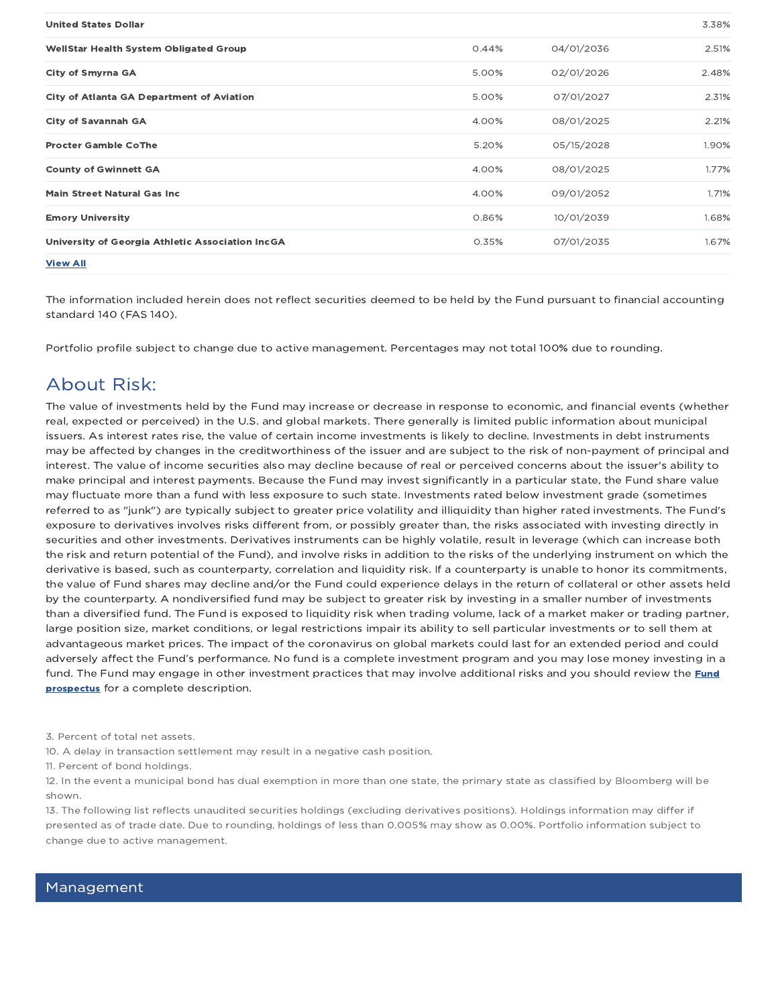| <b>United States Dollar</b>                      |       |            | 3.38% |
|--------------------------------------------------|-------|------------|-------|
| <b>WellStar Health System Obligated Group</b>    | 0.44% | 04/01/2036 | 2.51% |
| City of Smyrna GA                                | 5.00% | 02/01/2026 | 2.48% |
| <b>City of Atlanta GA Department of Aviation</b> | 5.00% | 07/01/2027 | 2.31% |
| <b>City of Savannah GA</b>                       | 4.00% | 08/01/2025 | 2.21% |
| <b>Procter Gamble CoThe</b>                      | 5.20% | 05/15/2028 | 1.90% |
| <b>County of Gwinnett GA</b>                     | 4.00% | 08/01/2025 | 1.77% |
| <b>Main Street Natural Gas Inc.</b>              | 4.00% | 09/01/2052 | 1.71% |
| <b>Emory University</b>                          | 0.86% | 10/01/2039 | 1.68% |
| University of Georgia Athletic Association IncGA | 0.35% | 07/01/2035 | 1.67% |
| <b>View All</b>                                  |       |            |       |

The information included herein does not reflect securities deemed to be held by the Fund pursuant to financial accounting standard 140 (FAS 140).

Portfolio profile subject to change due to active management. Percentages may not total 100% due to rounding.

### About Risk:

The value of investments held by the Fund may increase or decrease in response to economic, and financial events (whether real, expected or perceived) in the U.S. and global markets. There generally is limited public information about municipal issuers. As interest rates rise, the value of certain income investments is likely to decline. Investments in debt instruments may be affected by changes in the creditworthiness of the issuer and are subject to the risk of non-payment of principal and interest. The value of income securities also may decline because of real or perceived concerns about the issuer's ability to make principal and interest payments. Because the Fund may invest significantly in a particular state, the Fund share value may fluctuate more than a fund with less exposure to such state. Investments rated below investment grade (sometimes referred to as "junk") are typically subject to greater price volatility and illiquidity than higher rated investments. The Fund's exposure to derivatives involves risks different from, or possibly greater than, the risks associated with investing directly in securities and other investments. Derivatives instruments can be highly volatile, result in leverage (which can increase both the risk and return potential of the Fund), and involve risks in addition to the risks of the underlying instrument on which the derivative is based, such as counterparty, correlation and liquidity risk. If a counterparty is unable to honor its commitments, the value of Fund shares may decline and/or the Fund could experience delays in the return of collateral or other assets held by the counterparty. A nondiversified fund may be subject to greater risk by investing in a smaller number of investments than a diversified fund. The Fund is exposed to liquidity risk when trading volume, lack of a market maker or trading partner, large position size, market conditions, or legal restrictions impair its ability to sell particular investments or to sell them at advantageous market prices. The impact of the coronavirus on global markets could last for an extended period and could adversely affect the Fund's performance. No fund is a complete investment program and you may lose money investing in a fund. The Fund may engage in other investment practices that may involve additional risks and you should review the Fund prospectus for a complete description.

3. Percent of total net assets.

10. A delay in transaction settlement may result in a negative cash position.

11. Percent of bond holdings.

12. In the event a municipal bond has dual exemption in more than one state, the primary state as classified by Bloomberg will be shown.

13. The following list reflects unaudited securities holdings (excluding derivatives positions). Holdings information may differ if presented as of trade date. Due to rounding, holdings of less than 0.005% may show as 0.00%. Portfolio information subject to change due to active management.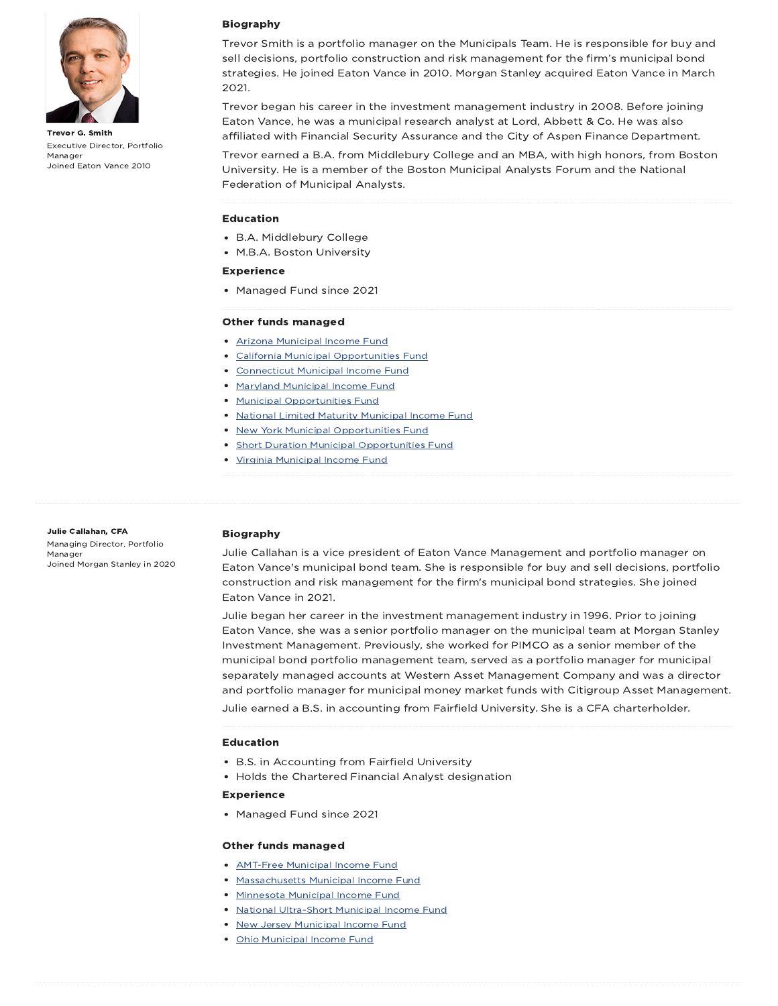

Trevor G. Smith Executive Director, Portfolio Manager Joined Eaton Vance 2010

#### Biography

Trevor Smith is a portfolio manager on the Municipals Team. He is responsible for buy and sell decisions, portfolio construction and risk management for the firm's municipal bond strategies. He joined Eaton Vance in 2010. Morgan Stanley acquired Eaton Vance in March 2021.

Trevor began his career in the investment management industry in 2008. Before joining Eaton Vance, he was a municipal research analyst at Lord, Abbett & Co. He was also affiliated with Financial Security Assurance and the City of Aspen Finance Department.

Trevor earned a B.A. from Middlebury College and an MBA, with high honors, from Boston University. He is a member of the Boston Municipal Analysts Forum and the National Federation of Municipal Analysts.

#### Education

- B.A. Middlebury College
- M.B.A. Boston University

#### Experience

• Managed Fund since 2021

#### Other funds managed

- Arizona Municipal Income Fund
- California Municipal Opportunities Fund
- Connecticut Municipal Income Fund
- Maryland Municipal Income Fund
- Municipal Opportunities Fund
	- National Limited Maturity Municipal Income Fund
- New York Municipal Opportunities Fund
- Short Duration Municipal Opportunities Fund
- Virginia Municipal Income Fund

Julie Callahan, CFA Managing Director, Portfolio Manager Joined Morgan Stanley in 2020

#### Biography

Julie Callahan is a vice president of Eaton Vance Management and portfolio manager on Eaton Vance's municipal bond team. She is responsible for buy and sell decisions, portfolio construction and risk management for the firm's municipal bond strategies. She joined Eaton Vance in 2021.

Julie began her career in the investment management industry in 1996. Prior to joining Eaton Vance, she was a senior portfolio manager on the municipal team at Morgan Stanley Investment Management. Previously, she worked for PIMCO as a senior member of the municipal bond portfolio management team, served as a portfolio manager for municipal separately managed accounts at Western Asset Management Company and was a director and portfolio manager for municipal money market funds with Citigroup Asset Management.

Julie earned a B.S. in accounting from Fairfield University. She is a CFA charterholder.

#### Education

- B.S. in Accounting from Fairfield University
- Holds the Chartered Financial Analyst designation

#### Experience

• Managed Fund since 2021

#### Other funds managed

- **AMT-Free Municipal Income Fund**
- Massachusetts Municipal Income Fund
- Minnesota Municipal Income Fund
- National Ultra-Short Municipal Income Fund
- **New Jersey Municipal Income Fund**
- Ohio Municipal Income Fund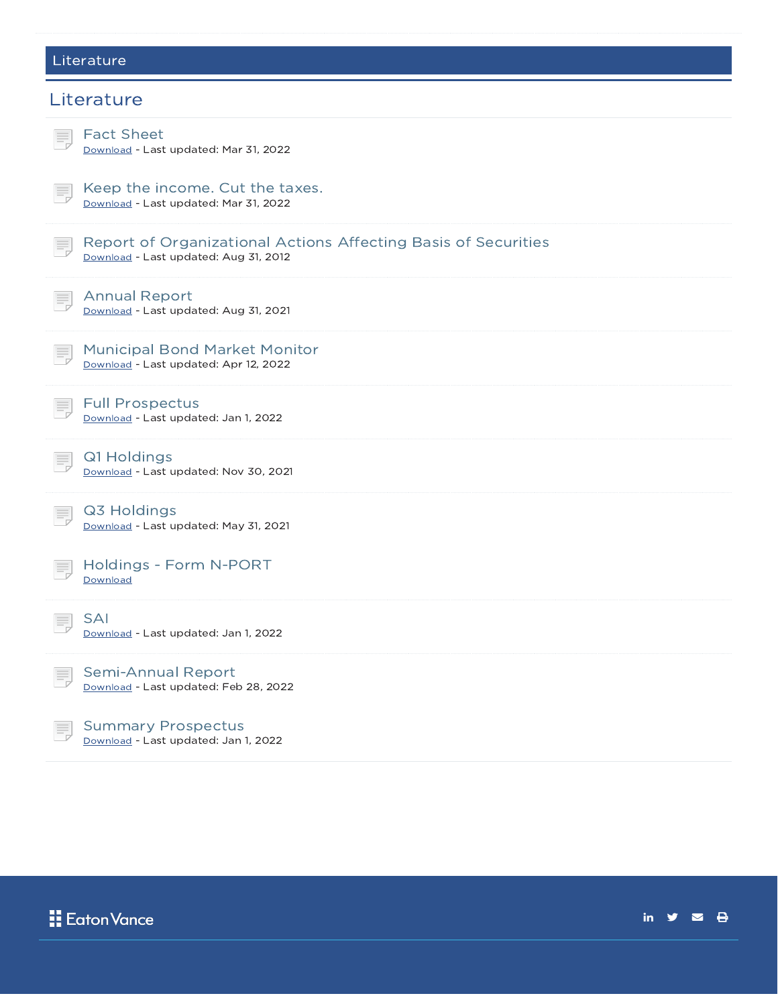## Literature

| Literature                                                                                              |
|---------------------------------------------------------------------------------------------------------|
| <b>Fact Sheet</b><br>Download - Last updated: Mar 31, 2022                                              |
| Keep the income. Cut the taxes.<br>Download - Last updated: Mar 31, 2022                                |
| Report of Organizational Actions Affecting Basis of Securities<br>Download - Last updated: Aug 31, 2012 |
| <b>Annual Report</b><br>Download - Last updated: Aug 31, 2021                                           |
| <b>Municipal Bond Market Monitor</b><br>Download - Last updated: Apr 12, 2022                           |
| <b>Full Prospectus</b><br>Download - Last updated: Jan 1, 2022                                          |
| Q1 Holdings<br>Download - Last updated: Nov 30, 2021                                                    |
| Q3 Holdings<br>Download - Last updated: May 31, 2021                                                    |
| Holdings - Form N-PORT<br>Download                                                                      |
| <b>SAI</b><br>Download - Last updated: Jan 1, 2022                                                      |
| Semi-Annual Report<br>Download - Last updated: Feb 28, 2022                                             |
| <b>Summary Prospectus</b><br>Download - Last updated: Jan 1, 2022                                       |



in  $y = \theta$